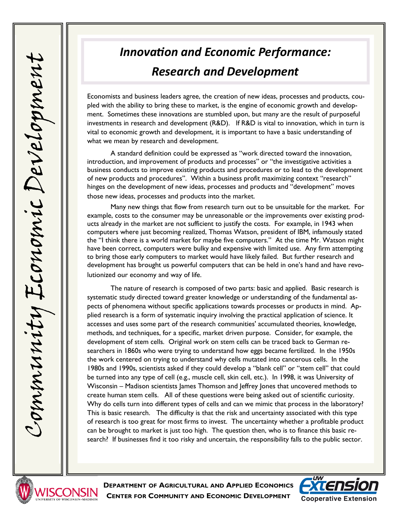## *Innovation and Economic Performance: Research and Development*

Economists and business leaders agree, the creation of new ideas, processes and products, coupled with the ability to bring these to market, is the engine of economic growth and development. Sometimes these innovations are stumbled upon, but many are the result of purposeful investments in research and development (R&D). If R&D is vital to innovation, which in turn is vital to economic growth and development, it is important to have a basic understanding of what we mean by research and development.

A standard definition could be expressed as "work directed toward the innovation, introduction, and improvement of products and processes" or "the investigative activities a business conducts to improve existing products and procedures or to lead to the development of new products and procedures". Within a business profit maximizing context "research" hinges on the development of new ideas, processes and products and "development" moves those new ideas, processes and products into the market.

Many new things that flow from research turn out to be unsuitable for the market. For example, costs to the consumer may be unreasonable or the improvements over existing products already in the market are not sufficient to justify the costs. For example, in 1943 when computers where just becoming realized, Thomas Watson, president of IBM, infamously stated the "I think there is a world market for maybe five computers." At the time Mr. Watson might have been correct, computers were bulky and expensive with limited use. Any firm attempting to bring those early computers to market would have likely failed. But further research and development has brought us powerful computers that can be held in one's hand and have revolutionized our economy and way of life.

The nature of research is composed of two parts: basic and applied. Basic research is systematic study directed toward greater knowledge or understanding of the fundamental aspects of phenomena without specific applications towards processes or products in mind. Applied research is a form of systematic inquiry involving the practical application of science. It accesses and uses some part of the research communities' accumulated theories, knowledge, methods, and techniques, for a specific, market driven purpose. Consider, for example, the development of stem cells. Original work on stem cells can be traced back to German researchers in 1860s who were trying to understand how eggs became fertilized. In the 1950s the work centered on trying to understand why cells mutated into cancerous cells. In the 1980s and 1990s, scientists asked if they could develop a "blank cell" or "stem cell" that could be turned into any type of cell (e.g., muscle cell, skin cell, etc.). In 1998, it was University of Wisconsin – Madison scientists James Thomson and Jeffrey Jones that uncovered methods to create human stem cells. All of these questions were being asked out of scientific curiosity. Why do cells turn into different types of cells and can we mimic that process in the laboratory? This is basic research. The difficulty is that the risk and uncertainty associated with this type of research is too great for most firms to invest. The uncertainty whether a profitable product can be brought to market is just too high. The question then, who is to finance this basic research? If businesses find it too risky and uncertain, the responsibility falls to the public sector.



**DEPARTMENT OF AGRICULTURAL AND APPLIED ECONOMICS CENTER FOR COMMUNITY AND ECONOMIC DEVELOPMENT**